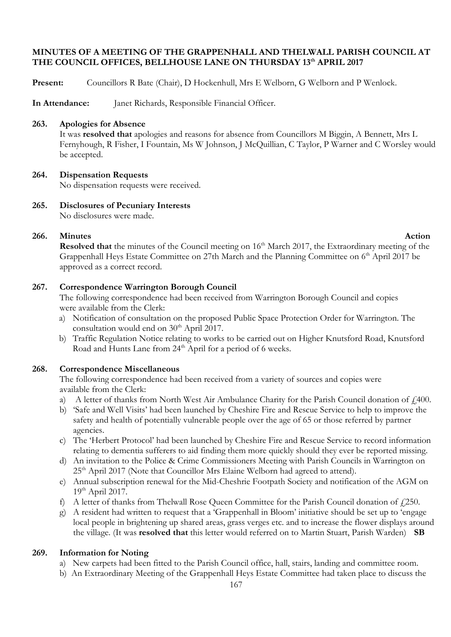#### **MINUTES OF A MEETING OF THE GRAPPENHALL AND THELWALL PARISH COUNCIL AT THE COUNCIL OFFICES, BELLHOUSE LANE ON THURSDAY 13th APRIL 2017**

**Present:** Councillors R Bate (Chair), D Hockenhull, Mrs E Welborn, G Welborn and P Wenlock.

**In Attendance:** Janet Richards, Responsible Financial Officer.

#### **263. Apologies for Absence**

It was **resolved that** apologies and reasons for absence from Councillors M Biggin, A Bennett, Mrs L Fernyhough, R Fisher, I Fountain, Ms W Johnson, J McQuillian, C Taylor, P Warner and C Worsley would be accepted.

#### **264. Dispensation Requests**

No dispensation requests were received.

**265. Disclosures of Pecuniary Interests** No disclosures were made.

### **266.** Minutes **Action**

**Resolved that** the minutes of the Council meeting on 16<sup>th</sup> March 2017, the Extraordinary meeting of the Grappenhall Heys Estate Committee on 27th March and the Planning Committee on 6<sup>th</sup> April 2017 be approved as a correct record.

#### **267. Correspondence Warrington Borough Council**

The following correspondence had been received from Warrington Borough Council and copies were available from the Clerk:

- a) Notification of consultation on the proposed Public Space Protection Order for Warrington. The consultation would end on  $30<sup>th</sup>$  April 2017.
- b) Traffic Regulation Notice relating to works to be carried out on Higher Knutsford Road, Knutsford Road and Hunts Lane from 24<sup>th</sup> April for a period of 6 weeks.

#### **268. Correspondence Miscellaneous**

The following correspondence had been received from a variety of sources and copies were available from the Clerk:

- a) A letter of thanks from North West Air Ambulance Charity for the Parish Council donation of  $f$  400.
- b) 'Safe and Well Visits' had been launched by Cheshire Fire and Rescue Service to help to improve the safety and health of potentially vulnerable people over the age of 65 or those referred by partner agencies.
- c) The 'Herbert Protocol' had been launched by Cheshire Fire and Rescue Service to record information relating to dementia sufferers to aid finding them more quickly should they ever be reported missing.
- d) An invitation to the Police & Crime Commissioners Meeting with Parish Councils in Warrington on 25<sup>th</sup> April 2017 (Note that Councillor Mrs Elaine Welborn had agreed to attend).
- e) Annual subscription renewal for the Mid-Cheshrie Footpath Society and notification of the AGM on 19th April 2017.
- f) A letter of thanks from Thelwall Rose Queen Committee for the Parish Council donation of  $f$ 250.
- g) A resident had written to request that a 'Grappenhall in Bloom' initiative should be set up to 'engage local people in brightening up shared areas, grass verges etc. and to increase the flower displays around the village. (It was **resolved that** this letter would referred on to Martin Stuart, Parish Warden) **SB**

#### **269. Information for Noting**

- a) New carpets had been fitted to the Parish Council office, hall, stairs, landing and committee room.
- b) An Extraordinary Meeting of the Grappenhall Heys Estate Committee had taken place to discuss the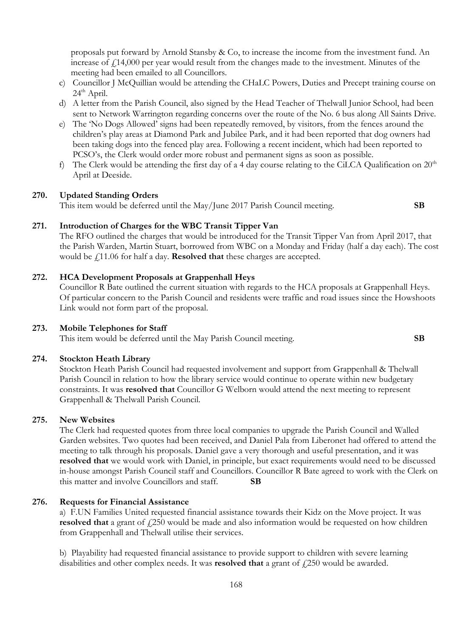proposals put forward by Arnold Stansby & Co, to increase the income from the investment fund. An increase of  $f14,000$  per year would result from the changes made to the investment. Minutes of the meeting had been emailed to all Councillors.

- c) Councillor J McQuillian would be attending the CHaLC Powers, Duties and Precept training course on  $24<sup>th</sup>$  April.
- d) A letter from the Parish Council, also signed by the Head Teacher of Thelwall Junior School, had been sent to Network Warrington regarding concerns over the route of the No. 6 bus along All Saints Drive.
- e) The 'No Dogs Allowed' signs had been repeatedly removed, by visitors, from the fences around the children's play areas at Diamond Park and Jubilee Park, and it had been reported that dog owners had been taking dogs into the fenced play area. Following a recent incident, which had been reported to PCSO's, the Clerk would order more robust and permanent signs as soon as possible.
- f) The Clerk would be attending the first day of a 4 day course relating to the CiLCA Qualification on  $20<sup>th</sup>$ April at Deeside.

#### **270. Updated Standing Orders**

This item would be deferred until the May/June 2017 Parish Council meeting. **SB**

#### **271. Introduction of Charges for the WBC Transit Tipper Van**

The RFO outlined the charges that would be introduced for the Transit Tipper Van from April 2017, that the Parish Warden, Martin Stuart, borrowed from WBC on a Monday and Friday (half a day each). The cost would be £11.06 for half a day. **Resolved that** these charges are accepted.

#### **272. HCA Development Proposals at Grappenhall Heys**

Councillor R Bate outlined the current situation with regards to the HCA proposals at Grappenhall Heys. Of particular concern to the Parish Council and residents were traffic and road issues since the Howshoots Link would not form part of the proposal.

#### **273. Mobile Telephones for Staff**

This item would be deferred until the May Parish Council meeting. **SB**

#### **274. Stockton Heath Library**

Stockton Heath Parish Council had requested involvement and support from Grappenhall & Thelwall Parish Council in relation to how the library service would continue to operate within new budgetary constraints. It was **resolved that** Councillor G Welborn would attend the next meeting to represent Grappenhall & Thelwall Parish Council.

#### **275. New Websites**

The Clerk had requested quotes from three local companies to upgrade the Parish Council and Walled Garden websites. Two quotes had been received, and Daniel Pala from Liberonet had offered to attend the meeting to talk through his proposals. Daniel gave a very thorough and useful presentation, and it was **resolved that** we would work with Daniel, in principle, but exact requirements would need to be discussed in-house amongst Parish Council staff and Councillors. Councillor R Bate agreed to work with the Clerk on this matter and involve Councillors and staff. **SB**

#### **276. Requests for Financial Assistance**

a) F.UN Families United requested financial assistance towards their Kidz on the Move project. It was **resolved that** a grant of £250 would be made and also information would be requested on how children from Grappenhall and Thelwall utilise their services.

b) Playability had requested financial assistance to provide support to children with severe learning disabilities and other complex needs. It was **resolved that** a grant of  $\ell$ , 250 would be awarded.